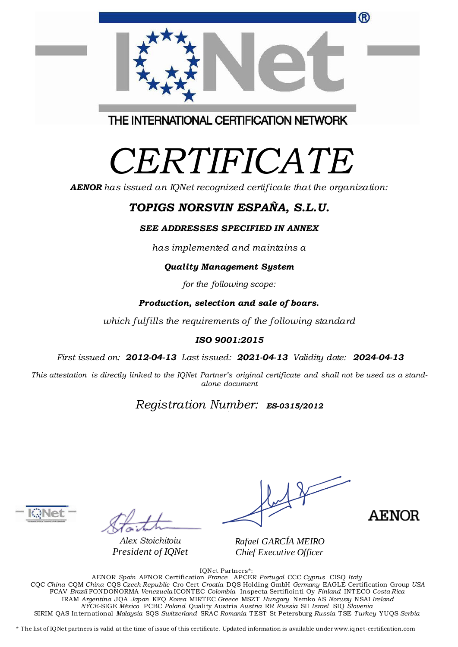|                                         | $\sim$ |
|-----------------------------------------|--------|
| THE INTERNATIONAL CERTIFICATION NETWORK |        |

100 NOVEL CERTIFICATION NETWO

# *CERTIFICATE*

*AENOR has issued an IQNet recognized certificate that the organization:*

## *TOPIGS NORSVIN ESPAÑA, S.L.U.*

#### *SEE ADDRESSES SPECIFIED IN ANNEX*

*has implemented and maintains a*

#### *Quality Management System*

*for the following scope:*

#### *Production, selection and sale of boars.*

*which fulfills the requirements of the following standard*

#### *ISO 9001:2015*

*First issued on: 2012-04-13 Last issued: 2021-04-13 Validity date: 2024-04-13*

This attestation is directly linked to the IQNet Partner's original certificate and shall not be used as a stand*alone document*

## *Registration Number: ES-0315/2012*

*Alex Stoichitoiu President of IQNet*

AENOR

*Rafael GARCÍA MEIRO Chief Executive Officer*

IQNet Partners\*:

AENOR *Spain* AFNOR Certification *France* APCER *Portugal* CCC *Cyprus* CISQ *Italy* CQC *China* CQM *China* CQS *Czech Republic* Cro Cert *Croatia* DQS Holding GmbH *Germany* EAGLE Certification Group *USA* FCAV *Brazil* FONDONORMA *Venezuela* ICONTEC *Colombia* Inspecta Sertifiointi Oy *Finland* INTECO *Costa Rica* IRAM *Argentina* JQA *Japan* KFQ *Korea* MIRTEC *Greece* MSZT *Hungary* Nemko AS *Norway* NSAI *Ireland NYCE-*SIGE *México* PCBC *Poland* Quality Austria *Austria* RR *Russia* SII *Israel* SIQ *Slovenia* SIRIM QAS International *Malaysia* SQS *Switzerland* SRAC *Romania* TEST St Petersburg *Russia* TSE *Turkey* YUQS *Serbia*

\* The list of IQNet partners is valid at the time of issue of this certificate. Updated information is available under www.iqnet-certification.com